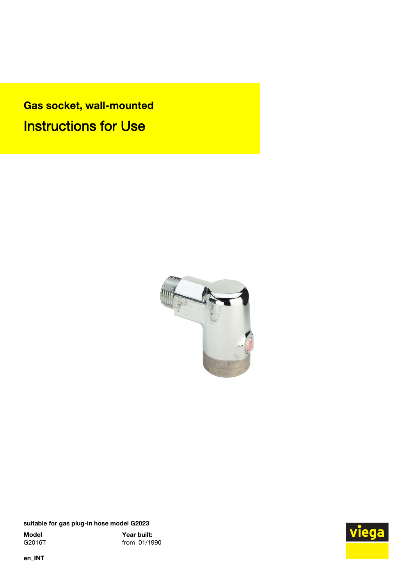Gas socket, wall-mounted Instructions for Use



suitable for gas plug-in hose model G2023

**Model Year built:**<br>G2016T from 01/19 from 01/1990



en\_INT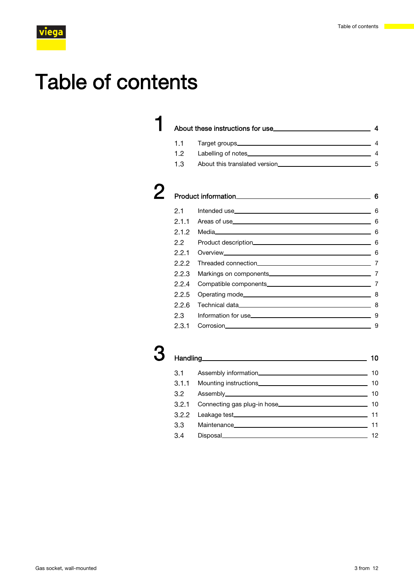## Table of contents

### **1** [About these instructions for use](#page-3-0) 44 About these instructions for use 44 1.1 [Target groups](#page-3-0) 4

1.2 [Labelling of notes](#page-3-0) 4 1.3 [About this translated version](#page-4-0) 5

| <b>Product information</b> |  |
|----------------------------|--|

| 2.1.2 | Media 6 |   |
|-------|---------|---|
|       |         |   |
|       |         |   |
|       |         |   |
| 2.2.3 |         |   |
| 2.2.4 |         |   |
|       |         |   |
|       |         |   |
|       |         |   |
|       |         | 9 |

### Handling 10 3.1 [Assembly information](#page-9-0) 10 3.1.1 [Mounting instructions](#page-9-0) 10 3.2 [Assembly](#page-9-0) 10 3.2.1 [Connecting gas plug-in hose](#page-9-0) 10 3.2.2 [Leakage test](#page-10-0) 11 3.3 [Maintenance](#page-10-0) 11 Maintenance 11 3.4 [Disposal](#page-11-0)<br>
12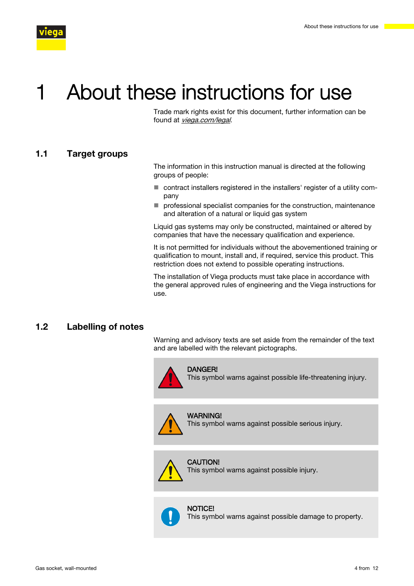<span id="page-3-0"></span>

## About these instructions for use

Trade mark rights exist for this document, further information can be found at [viega.com/legal](https://www.viega.com/en/meta/footer/legal.html).

#### 1.1 Target groups

The information in this instruction manual is directed at the following groups of people:

- contract installers registered in the installers' register of a utility company
- $\blacksquare$  professional specialist companies for the construction, maintenance and alteration of a natural or liquid gas system

Liquid gas systems may only be constructed, maintained or altered by companies that have the necessary qualification and experience.

It is not permitted for individuals without the abovementioned training or qualification to mount, install and, if required, service this product. This restriction does not extend to possible operating instructions.

The installation of Viega products must take place in accordance with the general approved rules of engineering and the Viega instructions for use.

#### 1.2 Labelling of notes

Warning and advisory texts are set aside from the remainder of the text and are labelled with the relevant pictographs.



DANGER!

This symbol warns against possible life-threatening injury.



WARNING! This symbol warns against possible serious injury.

#### CAUTION!

This symbol warns against possible injury.

#### **NOTICE!**

This symbol warns against possible damage to property.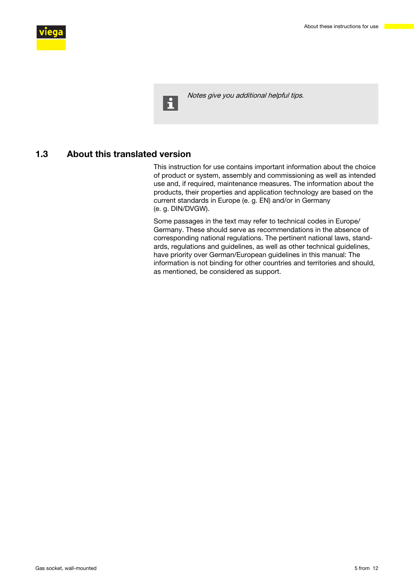<span id="page-4-0"></span>

 $\mathbf{H}$ 

Notes give you additional helpful tips.

#### 1.3 About this translated version

This instruction for use contains important information about the choice of product or system, assembly and commissioning as well as intended use and, if required, maintenance measures. The information about the products, their properties and application technology are based on the current standards in Europe (e. g. EN) and/or in Germany (e. g. DIN/DVGW).

Some passages in the text may refer to technical codes in Europe/ Germany. These should serve as recommendations in the absence of corresponding national regulations. The pertinent national laws, standards, regulations and guidelines, as well as other technical guidelines, have priority over German/European guidelines in this manual: The information is not binding for other countries and territories and should, as mentioned, be considered as support.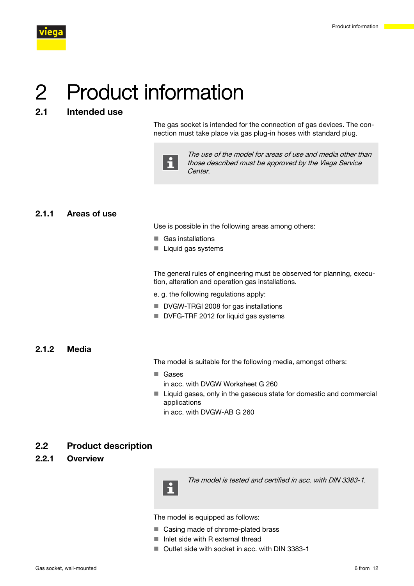<span id="page-5-0"></span>

# 2 Product information

### 2.1 Intended use

The gas socket is intended for the connection of gas devices. The connection must take place via gas plug-in hoses with standard plug.



The use of the model for areas of use and media other than those described must be approved by the Viega Service Center.

#### 2.1.1 Areas of use

Use is possible in the following areas among others:

- Gas installations
- $\blacksquare$  Liquid gas systems

The general rules of engineering must be observed for planning, execution, alteration and operation gas installations.

e. g. the following regulations apply:

- DVGW-TRGI 2008 for gas installations
- DVFG-TRF 2012 for liquid gas systems

#### 2.1.2 Media

The model is suitable for the following media, amongst others:

- Gases in acc. with DVGW Worksheet G 260
- $\blacksquare$  Liquid gases, only in the gaseous state for domestic and commercial applications in acc. with DVGW-AB G 260

#### 2.2 Product description

#### 2.2.1 Overview



The model is tested and certified in acc. with DIN 3383-1.

The model is equipped as follows:

- Casing made of chrome-plated brass
- $\blacksquare$  Inlet side with R external thread
- Outlet side with socket in acc. with DIN 3383-1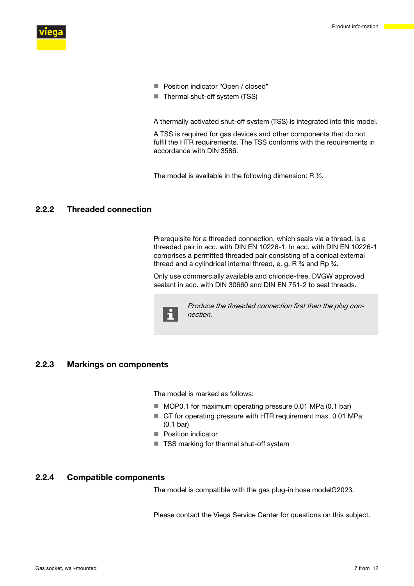<span id="page-6-0"></span>

- Position indicator "Open / closed"
- $\blacksquare$  Thermal shut-off system (TSS)

A thermally activated shut-off system (TSS) is integrated into this model.

A TSS is required for gas devices and other components that do not fulfil the HTR requirements. The TSS conforms with the requirements in accordance with DIN 3586.

The model is available in the following dimension: R ½.

#### 2.2.2 Threaded connection

Prerequisite for a threaded connection, which seals via a thread, is a threaded pair in acc. with DIN EN 10226-1. In acc. with DIN EN 10226-1 comprises a permitted threaded pair consisting of a conical external thread and a cylindrical internal thread, e. g. R  $\frac{3}{4}$  and Rp  $\frac{3}{4}$ .

Only use commercially available and chloride-free, DVGW approved sealant in acc. with DIN 30660 and DIN EN 751-2 to seal threads.



Produce the threaded connection first then the plug connection.

#### 2.2.3 Markings on components

The model is marked as follows:

- MOP0.1 for maximum operating pressure 0.01 MPa (0.1 bar)
- GT for operating pressure with HTR requirement max. 0.01 MPa (0.1 bar)
- **Position indicator**
- TSS marking for thermal shut-off system

#### 2.2.4 Compatible components

The model is compatible with the gas plug-in hose modelG2023.

Please contact the Viega Service Center for questions on this subject.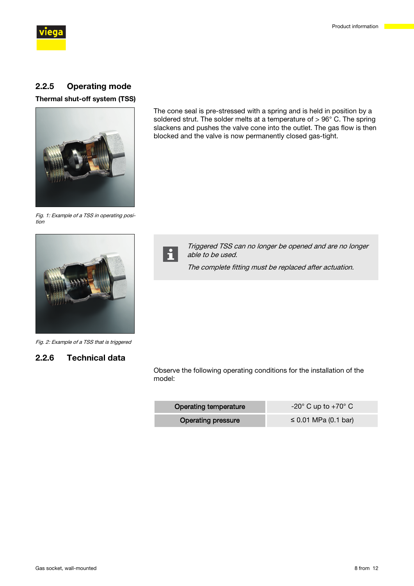<span id="page-7-0"></span>

#### 2.2.5 Operating mode

Thermal shut-off system (TSS)



The cone seal is pre-stressed with a spring and is held in position by a soldered strut. The solder melts at a temperature of > 96° C. The spring slackens and pushes the valve cone into the outlet. The gas flow is then blocked and the valve is now permanently closed gas-tight.

Fig. 1: Example of a TSS in operating position





I

Triggered TSS can no longer be opened and are no longer able to be used.

The complete fitting must be replaced after actuation.

Fig. 2: Example of a TSS that is triggered

#### 2.2.6 Technical data

Observe the following operating conditions for the installation of the model:

| <b>Operating temperature</b> | $-20^{\circ}$ C up to $+70^{\circ}$ C |
|------------------------------|---------------------------------------|
| <b>Operating pressure</b>    | ≤ 0.01 MPa (0.1 bar)                  |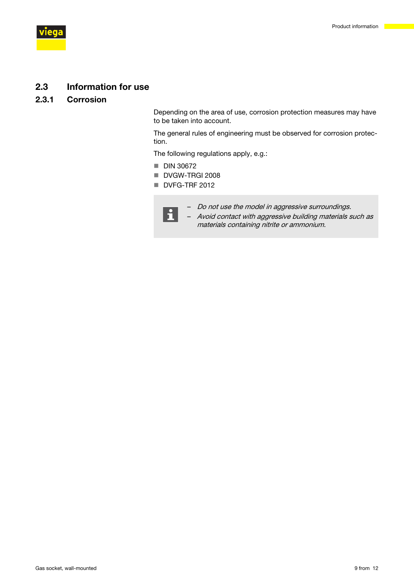<span id="page-8-0"></span>

#### 2.3 Information for use

#### 2.3.1 Corrosion

Depending on the area of use, corrosion protection measures may have to be taken into account.

The general rules of engineering must be observed for corrosion protection.

materials containing nitrite or ammonium.

The following regulations apply, e.g.:

- $\blacksquare$  DIN 30672
- DVGW-TRGI 2008
- DVFG-TRF 2012



– Do not use the model in aggressive surroundings. – Avoid contact with aggressive building materials such as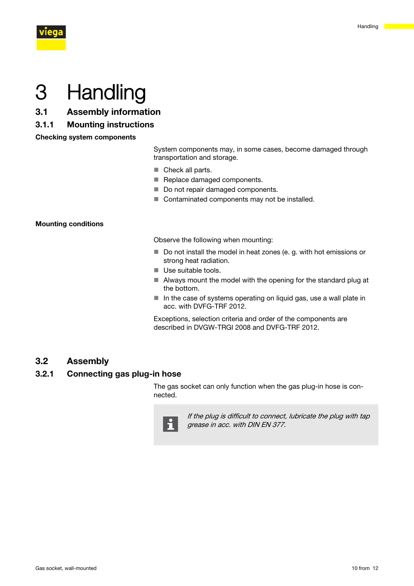<span id="page-9-0"></span>

## 3 Handling

- 3.1 Assembly information
- 3.1.1 Mounting instructions

Checking system components

System components may, in some cases, become damaged through transportation and storage.

- $\blacksquare$  Check all parts.
- Replace damaged components.
- Do not repair damaged components.
- $\blacksquare$  Contaminated components may not be installed.

#### Mounting conditions

Observe the following when mounting:

- $\blacksquare$  Do not install the model in heat zones (e. g. with hot emissions or strong heat radiation.
- **Use suitable tools.**
- $\blacksquare$  Always mount the model with the opening for the standard plug at the bottom.
- In the case of systems operating on liquid gas, use a wall plate in acc. with DVFG-TRF 2012.

Exceptions, selection criteria and order of the components are described in DVGW-TRGI 2008 and DVFG-TRF 2012.

#### 3.2 Assembly

#### 3.2.1 Connecting gas plug-in hose

The gas socket can only function when the gas plug-in hose is connected.



If the plug is difficult to connect, lubricate the plug with tap grease in acc. with DIN EN 377.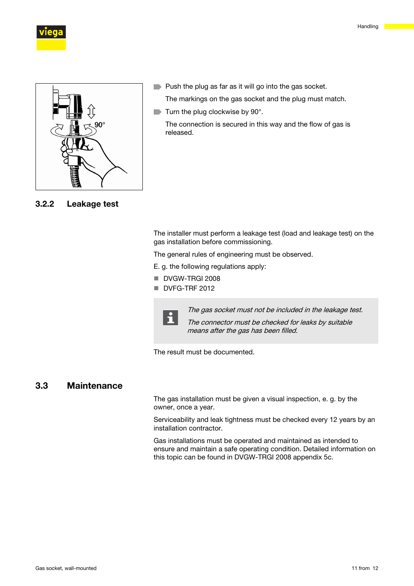

<span id="page-10-0"></span>



3.2.2 Leakage test

**Push the plug as far as it will go into the gas socket.** 

The markings on the gas socket and the plug must match.

 $\blacksquare$  Turn the plug clockwise by 90°.

The connection is secured in this way and the flow of gas is released.

The installer must perform a leakage test (load and leakage test) on the gas installation before commissioning.

The general rules of engineering must be observed.

E. g. the following regulations apply:

- DVGW-TRGI 2008
- DVFG-TRF 2012



The gas socket must not be included in the leakage test.

The connector must be checked for leaks by suitable means after the gas has been filled.

The result must be documented.

#### 3.3 Maintenance

The gas installation must be given a visual inspection, e. g. by the owner, once a year.

Serviceability and leak tightness must be checked every 12 years by an installation contractor.

Gas installations must be operated and maintained as intended to ensure and maintain a safe operating condition. Detailed information on this topic can be found in DVGW-TRGI 2008 appendix 5c.